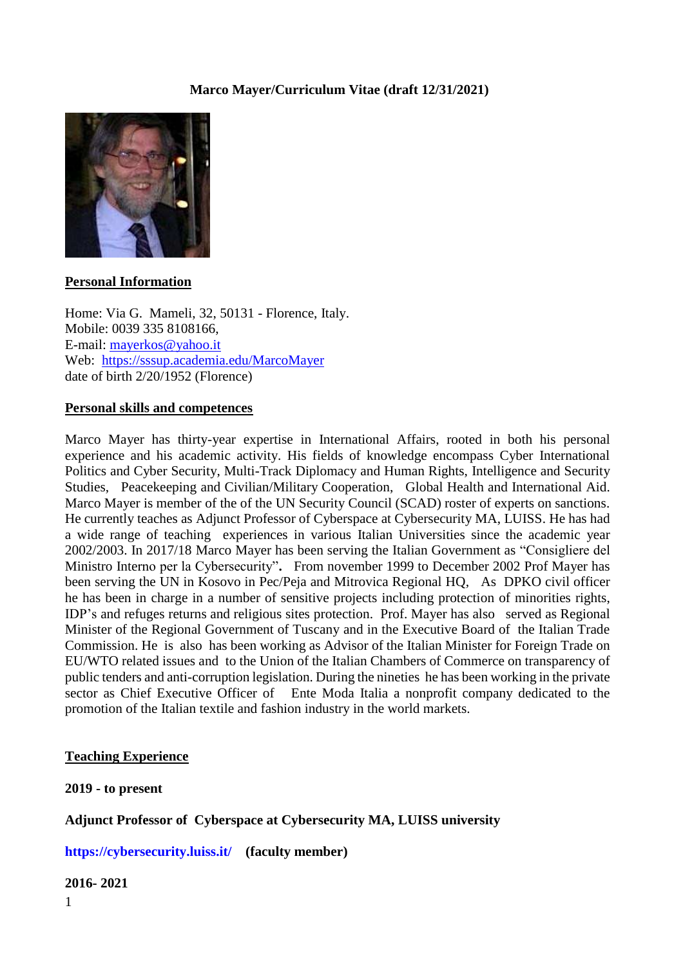# **Marco Mayer/Curriculum Vitae (draft 12/31/2021)**



## **Personal Information**

Home: Via G. Mameli, 32, 50131 - Florence, Italy. Mobile: 0039 335 8108166, E-mail: [mayerkos@yahoo.it](mailto:mayerkos@yahoo.it) Web: <https://sssup.academia.edu/MarcoMayer> date of birth 2/20/1952 (Florence)

### **Personal skills and competences**

Marco Mayer has thirty-year expertise in International Affairs, rooted in both his personal experience and his academic activity. His fields of knowledge encompass Cyber International Politics and Cyber Security, Multi-Track Diplomacy and Human Rights, Intelligence and Security Studies, Peacekeeping and Civilian/Military Cooperation, Global Health and International Aid. Marco Mayer is member of the of the UN Security Council (SCAD) roster of experts on sanctions. He currently teaches as Adjunct Professor of Cyberspace at Cybersecurity MA, LUISS. He has had a wide range of teaching experiences in various Italian Universities since the academic year 2002/2003. In 2017/18 Marco Mayer has been serving the Italian Government as "Consigliere del Ministro Interno per la Cybersecurity"**.** From november 1999 to December 2002 Prof Mayer has been serving the UN in Kosovo in Pec/Peja and Mitrovica Regional HQ, As DPKO civil officer he has been in charge in a number of sensitive projects including protection of minorities rights, IDP's and refuges returns and religious sites protection. Prof. Mayer has also served as Regional Minister of the Regional Government of Tuscany and in the Executive Board of the Italian Trade Commission. He is also has been working as Advisor of the Italian Minister for Foreign Trade on EU/WTO related issues and to the Union of the Italian Chambers of Commerce on transparency of public tenders and anti-corruption legislation. During the nineties he has been working in the private sector as Chief Executive Officer of Ente Moda Italia a nonprofit company dedicated to the promotion of the Italian textile and fashion industry in the world markets.

### **Teaching Experience**

**2019 - to present** 

## **Adjunct Professor of Cyberspace at Cybersecurity MA, LUISS university**

**<https://cybersecurity.luiss.it/> (faculty member)** 

#### **2016- 2021**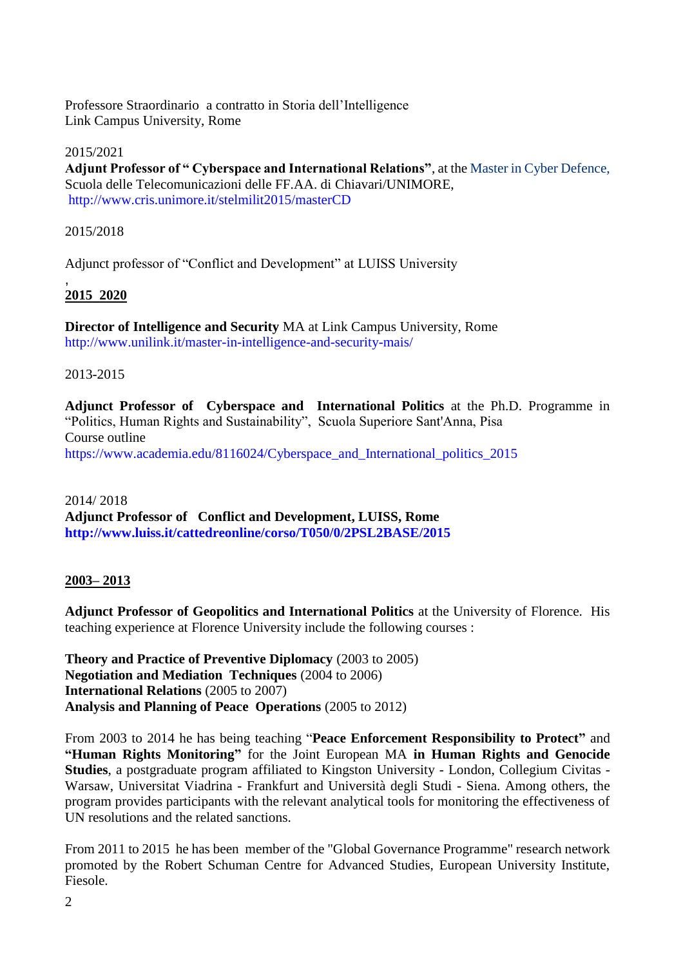Professore Straordinario a contratto in Storia dell'Intelligence Link Campus University, Rome

2015/2021 **Adjunt Professor of " Cyberspace and International Relations"**, at th[e Master in Cyber Defence,](http://www.cris.unimore.it/stelmilit2015/masterCD)  [Scuola delle Telecomunicazioni delle FF.AA. di Chiavari/](http://www.cris.unimore.it/stelmilit2015/masterCD)UNIMORE, <http://www.cris.unimore.it/stelmilit2015/masterCD>

2015/2018

Adjunct professor of "Conflict and Development" at LUISS University

#### , **2015 2020**

**Director of Intelligence and Security** MA at Link Campus University, Rome <http://www.unilink.it/master-in-intelligence-and-security-mais/>

2013-2015

**Adjunct Professor of Cyberspace and International Politics** at the Ph.D. Programme in "Politics, Human Rights and Sustainability", Scuola Superiore Sant'Anna, Pisa Course outline [https://www.academia.edu/8116024/Cyberspace\\_and\\_International\\_politics\\_2015](https://www.academia.edu/8116024/Cyberspace_and_International_politics_2015)

2014/ 2018 **Adjunct Professor of Conflict and Development, LUISS, Rome <http://www.luiss.it/cattedreonline/corso/T050/0/2PSL2BASE/2015>**

### **2003– 2013**

**Adjunct Professor of Geopolitics and International Politics** at the University of Florence. His teaching experience at Florence University include the following courses :

**Theory and Practice of Preventive Diplomacy** (2003 to 2005) **Negotiation and Mediation Techniques** (2004 to 2006) **International Relations** (2005 to 2007) **Analysis and Planning of Peace Operations** (2005 to 2012)

From 2003 to 2014 he has being teaching "**Peace Enforcement Responsibility to Protect"** and **"Human Rights Monitoring"** for the Joint European MA **in Human Rights and Genocide Studies**, a postgraduate program affiliated to Kingston University - London, Collegium Civitas - Warsaw, Universitat Viadrina - Frankfurt and Università degli Studi - Siena. Among others, the program provides participants with the relevant analytical tools for monitoring the effectiveness of UN resolutions and the related sanctions.

From 2011 to 2015 he has been member of the "Global Governance Programme" research network promoted by the Robert Schuman Centre for Advanced Studies, European University Institute, Fiesole.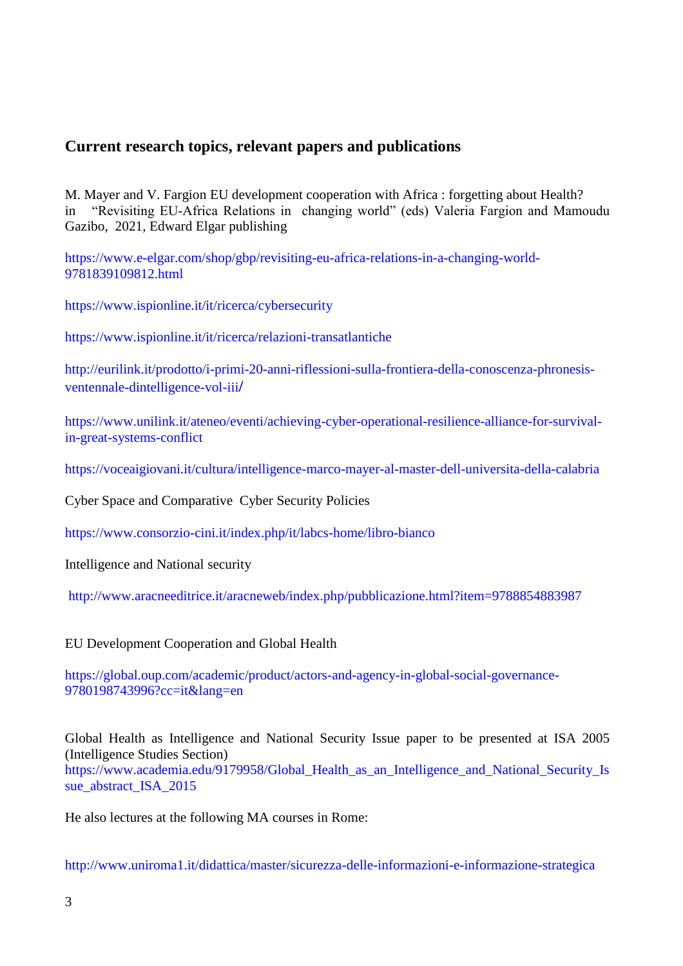# **Current research topics, relevant papers and publications**

M. Mayer and V. Fargion EU development cooperation with Africa : forgetting about Health? in "Revisiting EU-Africa Relations in changing world" (eds) Valeria Fargion and Mamoudu Gazibo, 2021, Edward Elgar publishing

[https://www.e-elgar.com/shop/gbp/revisiting-eu-africa-relations-in-a-changing-world-](https://www.e-elgar.com/shop/gbp/revisiting-eu-africa-relations-in-a-changing-world-9781839109812.html)[9781839109812.html](https://www.e-elgar.com/shop/gbp/revisiting-eu-africa-relations-in-a-changing-world-9781839109812.html)

<https://www.ispionline.it/it/ricerca/cybersecurity>

<https://www.ispionline.it/it/ricerca/relazioni-transatlantiche>

[http://eurilink.it/prodotto/i-primi-20-anni-riflessioni-sulla-frontiera-della-conoscenza-phronesis](http://eurilink.it/prodotto/i-primi-20-anni-riflessioni-sulla-frontiera-della-conoscenza-phronesis-ventennale-dintelligence-vol-iii/)[ventennale-dintelligence-vol-iii](http://eurilink.it/prodotto/i-primi-20-anni-riflessioni-sulla-frontiera-della-conoscenza-phronesis-ventennale-dintelligence-vol-iii/)**/**

[https://www.unilink.it/ateneo/eventi/achieving-cyber-operational-resilience-alliance-for-survival](https://www.unilink.it/ateneo/eventi/achieving-cyber-operational-resilience-alliance-for-survival-in-great-systems-conflict)[in-great-systems-conflict](https://www.unilink.it/ateneo/eventi/achieving-cyber-operational-resilience-alliance-for-survival-in-great-systems-conflict)

<https://voceaigiovani.it/cultura/intelligence-marco-mayer-al-master-dell-universita-della-calabria>

Cyber Space and Comparative Cyber Security Policies

<https://www.consorzio-cini.it/index.php/it/labcs-home/libro-bianco>

Intelligence and National security

<http://www.aracneeditrice.it/aracneweb/index.php/pubblicazione.html?item=9788854883987>

EU Development Cooperation and Global Health

[https://global.oup.com/academic/product/actors-and-agency-in-global-social-governance-](https://global.oup.com/academic/product/actors-and-agency-in-global-social-governance-9780198743996?cc=it&lang=en)[9780198743996?cc=it&lang=en](https://global.oup.com/academic/product/actors-and-agency-in-global-social-governance-9780198743996?cc=it&lang=en)

Global Health as Intelligence and National Security Issue paper to be presented at ISA 2005 (Intelligence Studies Section)

[https://www.academia.edu/9179958/Global\\_Health\\_as\\_an\\_Intelligence\\_and\\_National\\_Security\\_Is](https://www.academia.edu/9179958/Global_Health_as_an_Intelligence_and_National_Security_Issue_abstract_ISA_2015) sue abstract ISA 2015

He also lectures at the following MA courses in Rome:

<http://www.uniroma1.it/didattica/master/sicurezza-delle-informazioni-e-informazione-strategica>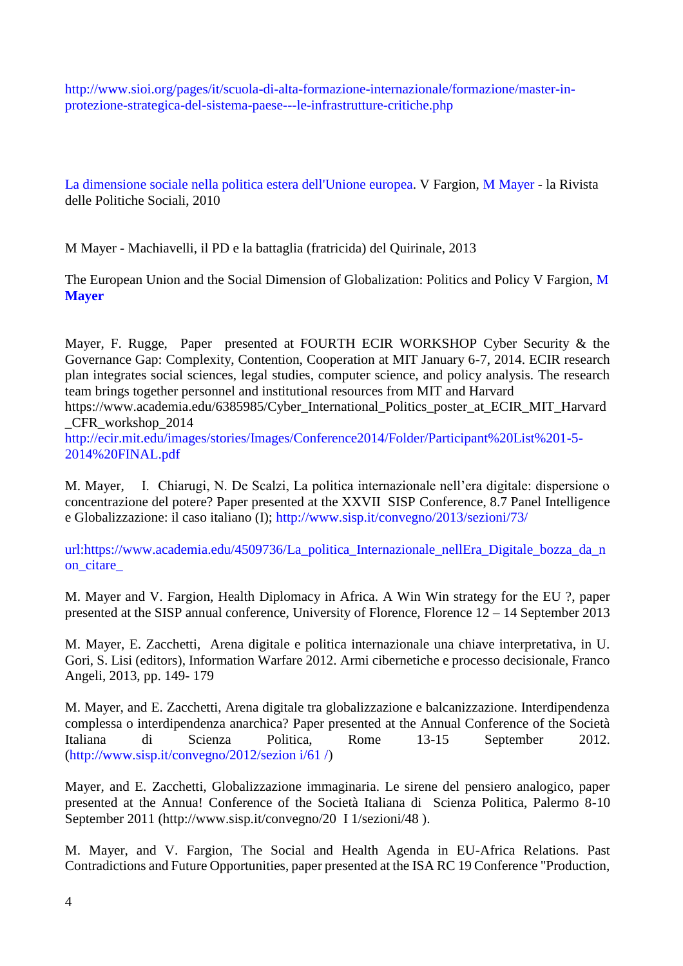[http://www.sioi.org/pages/it/scuola-di-alta-formazione-internazionale/formazione/master-in](http://www.sioi.org/pages/it/scuola-di-alta-formazione-internazionale/formazione/master-in-protezione-strategica-del-sistema-paese---le-infrastrutture-critiche.php)[protezione-strategica-del-sistema-paese---le-infrastrutture-critiche.php](http://www.sioi.org/pages/it/scuola-di-alta-formazione-internazionale/formazione/master-in-protezione-strategica-del-sistema-paese---le-infrastrutture-critiche.php)

[La dimensione sociale nella politica estera dell'Unione europea.](https://www.researchgate.net/profile/Valeria-Fargion/publication/277294072_La_dimensione_sociale_nella_politica_estera_dell) V Fargion, [M Mayer](https://scholar.google.it/citations?user=MkfyHZsAAAAJ&hl=en&oi=sra) - la Rivista delle Politiche Sociali, 2010

M Mayer - Machiavelli, il PD e la battaglia (fratricida) del Quirinale, 2013

The European Union and the Social Dimension of Globalization: Politics and Policy V Fargion, [M](https://scholar.google.it/citations?user=MkfyHZsAAAAJ&hl=en&oi=sra)  **[Mayer](https://scholar.google.it/citations?user=MkfyHZsAAAAJ&hl=en&oi=sra)**

Mayer, F. Rugge, Paper presented at FOURTH ECIR WORKSHOP Cyber Security & the Governance Gap: Complexity, Contention, Cooperation at MIT January 6-7, 2014. ECIR research plan integrates social sciences, legal studies, computer science, and policy analysis. The research team brings together personnel and institutional resources from MIT and Harvard

https://www.academia.edu/6385985/Cyber\_International\_Politics\_poster\_at\_ECIR\_MIT\_Harvard \_CFR\_workshop\_2014

[http://ecir.mit.edu/images/stories/Images/Conference2014/Folder/Participant%20List%201-5-](http://ecir.mit.edu/images/stories/Images/Conference2014/Folder/Participant%20List%201-5-2014%20FINAL.pdf) [2014%20FINAL.pdf](http://ecir.mit.edu/images/stories/Images/Conference2014/Folder/Participant%20List%201-5-2014%20FINAL.pdf)

M. Mayer, I. Chiarugi, N. De Scalzi, La politica internazionale nell'era digitale: dispersione o concentrazione del potere? Paper presented at the XXVII SISP Conference, 8.7 Panel Intelligence e Globalizzazione: il caso italiano (I);<http://www.sisp.it/convegno/2013/sezioni/73/>

url:https://www.academia.edu/4509736/La politica Internazionale nellEra Digitale bozza da n [on\\_citare\\_](https://www.academia.edu/4509736/La_politica_Internazionale_nellEra_Digitale_bozza_da_non_citare_)

M. Mayer and V. Fargion, Health Diplomacy in Africa. A Win Win strategy for the EU ?, paper presented at the SISP annual conference, University of Florence, Florence 12 – 14 September 2013

M. Mayer, E. Zacchetti, Arena digitale e politica internazionale una chiave interpretativa, in U. Gori, S. Lisi (editors), Information Warfare 2012. Armi cibernetiche e processo decisionale, Franco Angeli, 2013, pp. 149- 179

M. Mayer, and E. Zacchetti, Arena digitale tra globalizzazione e balcanizzazione. Interdipendenza complessa o interdipendenza anarchica? Paper presented at the Annual Conference of the Società Italiana di Scienza Politica, Rome 13-15 September 2012. [\(http://www.sisp.it/convegno/2012/sezion i/61 /\)](http://www.sisp.it/convegno/2012/sezion%20i/61%20/)

Mayer, and E. Zacchetti, Globalizzazione immaginaria. Le sirene del pensiero analogico, paper presented at the Annua! Conference of the Società Italiana di Scienza Politica, Palermo 8-10 September 2011 (http://www.sisp.it/convegno/20 I 1/sezioni/48 ).

M. Mayer, and V. Fargion, The Social and Health Agenda in EU-Africa Relations. Past Contradictions and Future Opportunities, paper presented at the ISA RC 19 Conference "Production,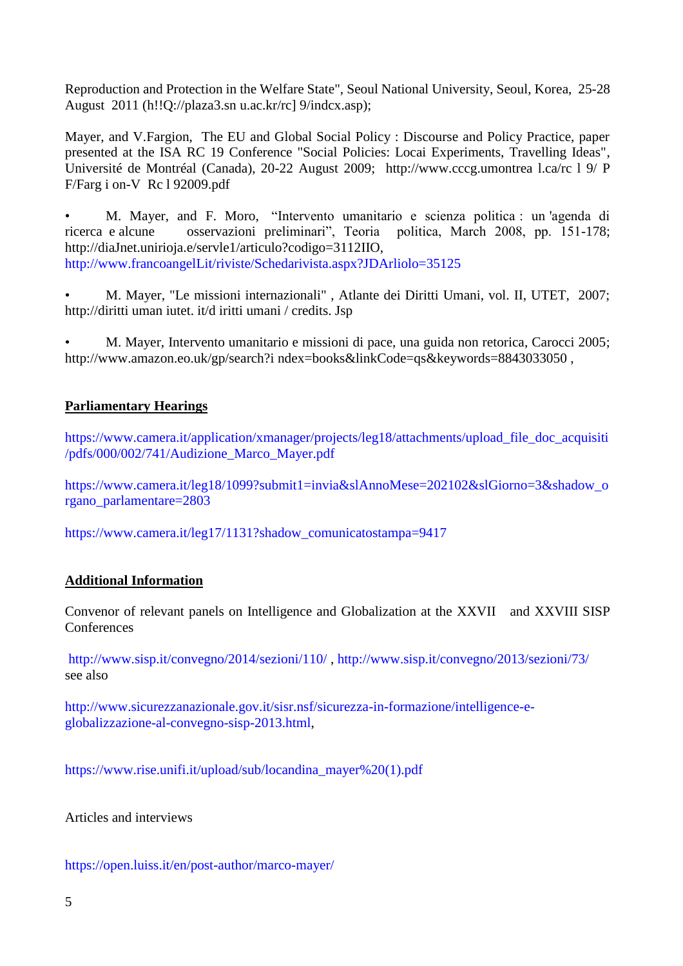Reproduction and Protection in the Welfare State", Seoul National University, Seoul, Korea, 25-28 August 2011 (h!!Q://plaza3.sn u.ac.kr/rc] 9/indcx.asp);

Mayer, and V.Fargion, The EU and Global Social Policy : Discourse and Policy Practice, paper presented at the ISA RC 19 Conference "Social Policies: Locai Experiments, Travelling Ideas", Université de Montréal (Canada), 20-22 August 2009; http://www.cccg.umontrea l.ca/rc l 9/ P F/Farg i on-V Rc l 92009.pdf

• M. Mayer, and F. Moro, "Intervento umanitario e scienza politica : un 'agenda di ricerca e alcune osservazioni preliminari", Teoria politica, March 2008, pp. 151-178; http://diaJnet.unirioja.e/servle1/articulo?codigo=3112IIO, [http://www.francoangelLit/riviste/Schedarivista.aspx?JDArliolo=35125](http://www.francoangellit/riviste/Schedarivista.aspx?JDArliolo=35125)

• M. Mayer, "Le missioni internazionali" , Atlante dei Diritti Umani, vol. II, UTET, 2007; http://diritti uman iutet. it/d iritti umani / credits. Jsp

• M. Mayer, Intervento umanitario e missioni di pace, una guida non retorica, Carocci 2005; http://www.amazon.eo.uk/gp/search?i ndex=books&linkCode=qs&keywords=8843033050,

# **[Parliamentary](https://context.reverso.net/traduzione/inglese-italiano/parliamentary+hearings) Hearings**

https://www.camera.it/application/xmanager/projects/leg18/attachments/upload file doc acquisiti [/pdfs/000/002/741/Audizione\\_Marco\\_Mayer.pdf](https://www.camera.it/application/xmanager/projects/leg18/attachments/upload_file_doc_acquisiti/pdfs/000/002/741/Audizione_Marco_Mayer.pdf)

[https://www.camera.it/leg18/1099?submit1=invia&slAnnoMese=202102&slGiorno=3&shadow\\_o](https://www.camera.it/leg18/1099?submit1=invia&slAnnoMese=202102&slGiorno=3&shadow_organo_parlamentare=2803) [rgano\\_parlamentare=2803](https://www.camera.it/leg18/1099?submit1=invia&slAnnoMese=202102&slGiorno=3&shadow_organo_parlamentare=2803)

[https://www.camera.it/leg17/1131?shadow\\_comunicatostampa=9417](https://www.camera.it/leg17/1131?shadow_comunicatostampa=9417)

# **Additional Information**

Convenor of relevant panels on Intelligence and Globalization at the XXVII and XXVIII SISP **Conferences** 

<http://www.sisp.it/convegno/2014/sezioni/110/> ,<http://www.sisp.it/convegno/2013/sezioni/73/> see also

[http://www.sicurezzanazionale.gov.it/sisr.nsf/sicurezza-in-formazione/intelligence-e](http://www.sicurezzanazionale.gov.it/sisr.nsf/sicurezza-in-formazione/intelligence-e-globalizzazione-al-convegno-sisp-2013.html)[globalizzazione-al-convegno-sisp-2013.html,](http://www.sicurezzanazionale.gov.it/sisr.nsf/sicurezza-in-formazione/intelligence-e-globalizzazione-al-convegno-sisp-2013.html)

[https://www.rise.unifi.it/upload/sub/locandina\\_mayer%20\(1\).pdf](https://www.rise.unifi.it/upload/sub/locandina_mayer%20(1).pdf)

Articles and interviews

<https://open.luiss.it/en/post-author/marco-mayer/>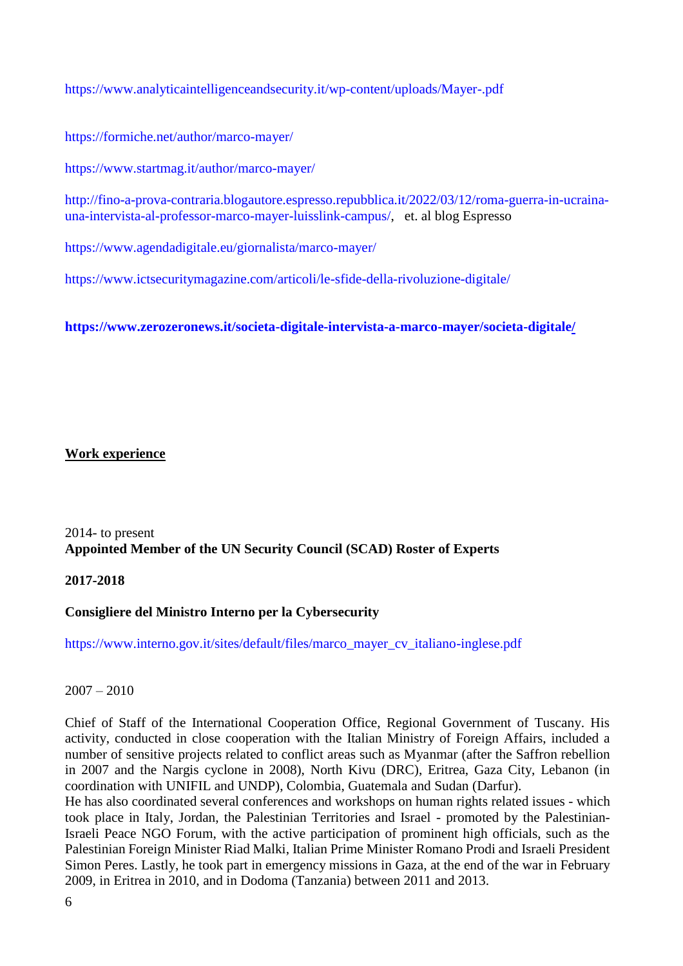<https://www.analyticaintelligenceandsecurity.it/wp-content/uploads/Mayer-.pdf>

<https://formiche.net/author/marco-mayer/>

<https://www.startmag.it/author/marco-mayer/>

[http://fino-a-prova-contraria.blogautore.espresso.repubblica.it/2022/03/12/roma-guerra-in-ucraina](http://fino-a-prova-contraria.blogautore.espresso.repubblica.it/2022/03/12/roma-guerra-in-ucraina-una-intervista-al-professor-marco-mayer-luisslink-campus/)[una-intervista-al-professor-marco-mayer-luisslink-campus/,](http://fino-a-prova-contraria.blogautore.espresso.repubblica.it/2022/03/12/roma-guerra-in-ucraina-una-intervista-al-professor-marco-mayer-luisslink-campus/) et. al blog Espresso

<https://www.agendadigitale.eu/giornalista/marco-mayer/>

<https://www.ictsecuritymagazine.com/articoli/le-sfide-della-rivoluzione-digitale/>

**<https://www.zerozeronews.it/societa-digitale-intervista-a-marco-mayer/societa-digitale/>**

## **Work experience**

# 2014- to present **Appointed Member of the UN Security Council (SCAD) Roster of Experts**

# **2017-2018**

# **Consigliere del Ministro Interno per la Cybersecurity**

[https://www.interno.gov.it/sites/default/files/marco\\_mayer\\_cv\\_italiano-inglese.pdf](https://www.interno.gov.it/sites/default/files/marco_mayer_cv_italiano-inglese.pdf)

# $2007 - 2010$

Chief of Staff of the International Cooperation Office, Regional Government of Tuscany. His activity, conducted in close cooperation with the Italian Ministry of Foreign Affairs, included a number of sensitive projects related to conflict areas such as Myanmar (after the Saffron rebellion in 2007 and the Nargis cyclone in 2008), North Kivu (DRC), Eritrea, Gaza City, Lebanon (in coordination with UNIFIL and UNDP), Colombia, Guatemala and Sudan (Darfur).

He has also coordinated several conferences and workshops on human rights related issues - which took place in Italy, Jordan, the Palestinian Territories and Israel - promoted by the Palestinian-Israeli Peace NGO Forum, with the active participation of prominent high officials, such as the Palestinian Foreign Minister Riad Malki, Italian Prime Minister Romano Prodi and Israeli President Simon Peres. Lastly, he took part in emergency missions in Gaza, at the end of the war in February 2009, in Eritrea in 2010, and in Dodoma (Tanzania) between 2011 and 2013.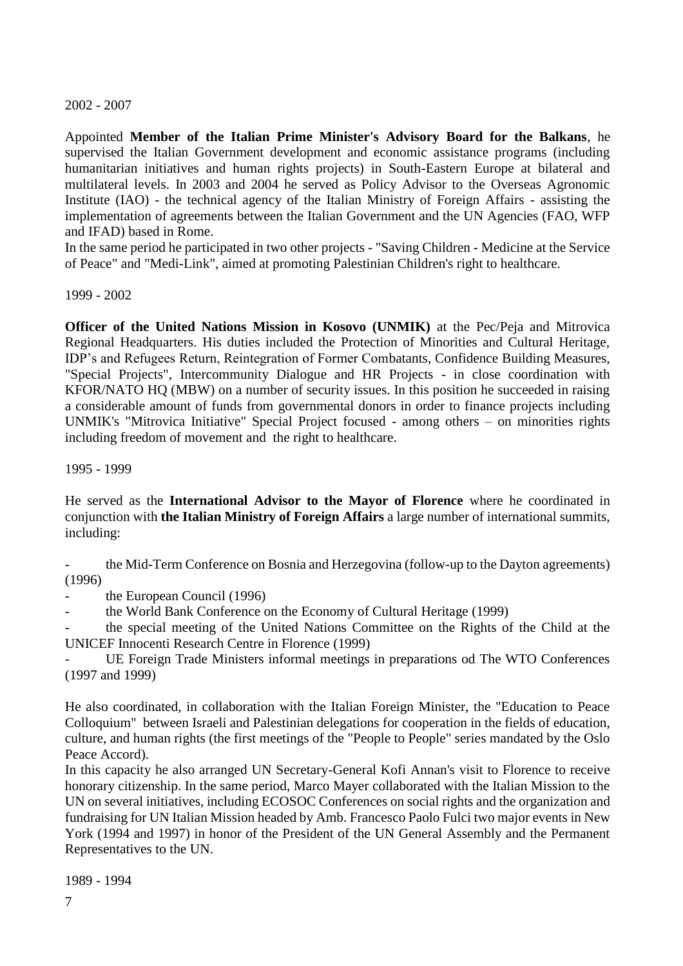# 2002 - 2007

Appointed **Member of the Italian Prime Minister's Advisory Board for the Balkans**, he supervised the Italian Government development and economic assistance programs (including humanitarian initiatives and human rights projects) in South-Eastern Europe at bilateral and multilateral levels. In 2003 and 2004 he served as Policy Advisor to the Overseas Agronomic Institute (IAO) - the technical agency of the Italian Ministry of Foreign Affairs - assisting the implementation of agreements between the Italian Government and the UN Agencies (FAO, WFP and IFAD) based in Rome.

In the same period he participated in two other projects - "Saving Children - Medicine at the Service of Peace" and "Medi-Link", aimed at promoting Palestinian Children's right to healthcare.

1999 - 2002

**Officer of the United Nations Mission in Kosovo (UNMIK)** at the Pec/Peja and Mitrovica Regional Headquarters. His duties included the Protection of Minorities and Cultural Heritage, IDP's and Refugees Return, Reintegration of Former Combatants, Confidence Building Measures, "Special Projects", Intercommunity Dialogue and HR Projects - in close coordination with KFOR/NATO HQ (MBW) on a number of security issues. In this position he succeeded in raising a considerable amount of funds from governmental donors in order to finance projects including UNMIK's "Mitrovica Initiative" Special Project focused - among others – on minorities rights including freedom of movement and the right to healthcare.

1995 - 1999

He served as the **International Advisor to the Mayor of Florence** where he coordinated in conjunction with **the Italian Ministry of Foreign Affairs** a large number of international summits, including:

the Mid-Term Conference on Bosnia and Herzegovina (follow-up to the Dayton agreements) (1996)

the European Council (1996)

- the World Bank Conference on the Economy of Cultural Heritage (1999)

the special meeting of the United Nations Committee on the Rights of the Child at the UNICEF Innocenti Research Centre in Florence (1999)

UE Foreign Trade Ministers informal meetings in preparations od The WTO Conferences (1997 and 1999)

He also coordinated, in collaboration with the Italian Foreign Minister, the "Education to Peace Colloquium" between Israeli and Palestinian delegations for cooperation in the fields of education, culture, and human rights (the first meetings of the "People to People" series mandated by the Oslo Peace Accord).

In this capacity he also arranged UN Secretary-General Kofi Annan's visit to Florence to receive honorary citizenship. In the same period, Marco Mayer collaborated with the Italian Mission to the UN on several initiatives, including ECOSOC Conferences on social rights and the organization and fundraising for UN Italian Mission headed by Amb. Francesco Paolo Fulci two major events in New York (1994 and 1997) in honor of the President of the UN General Assembly and the Permanent Representatives to the UN.

1989 - 1994